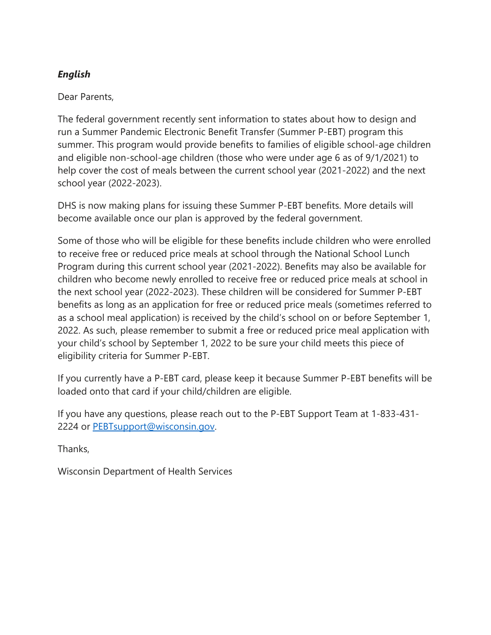# *English*

### Dear Parents,

The federal government recently sent information to states about how to design and run a Summer Pandemic Electronic Benefit Transfer (Summer P-EBT) program this summer. This program would provide benefits to families of eligible school-age children and eligible non-school-age children (those who were under age 6 as of 9/1/2021) to help cover the cost of meals between the current school year (2021-2022) and the next school year (2022-2023).

DHS is now making plans for issuing these Summer P-EBT benefits. More details will become available once our plan is approved by the federal government.

Some of those who will be eligible for these benefits include children who were enrolled to receive free or reduced price meals at school through the National School Lunch Program during this current school year (2021-2022). Benefits may also be available for children who become newly enrolled to receive free or reduced price meals at school in the next school year (2022-2023). These children will be considered for Summer P-EBT benefits as long as an application for free or reduced price meals (sometimes referred to as a school meal application) is received by the child's school on or before September 1, 2022. As such, please remember to submit a free or reduced price meal application with your child's school by September 1, 2022 to be sure your child meets this piece of eligibility criteria for Summer P-EBT.

If you currently have a P-EBT card, please keep it because Summer P-EBT benefits will be loaded onto that card if your child/children are eligible.

If you have any questions, please reach out to the P-EBT Support Team at 1-833-431- 2224 or [PEBTsupport@wisconsin.gov.](mailto:PEBTsupport@wisconsin.gov)

Thanks,

Wisconsin Department of Health Services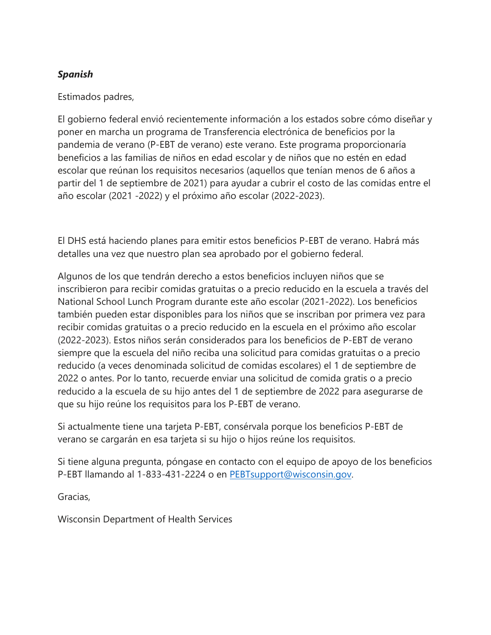## *Spanish*

### Estimados padres,

El gobierno federal envió recientemente información a los estados sobre cómo diseñar y poner en marcha un programa de Transferencia electrónica de beneficios por la pandemia de verano (P-EBT de verano) este verano. Este programa proporcionaría beneficios a las familias de niños en edad escolar y de niños que no estén en edad escolar que reúnan los requisitos necesarios (aquellos que tenían menos de 6 años a partir del 1 de septiembre de 2021) para ayudar a cubrir el costo de las comidas entre el año escolar (2021 -2022) y el próximo año escolar (2022-2023).

El DHS está haciendo planes para emitir estos beneficios P-EBT de verano. Habrá más detalles una vez que nuestro plan sea aprobado por el gobierno federal.

Algunos de los que tendrán derecho a estos beneficios incluyen niños que se inscribieron para recibir comidas gratuitas o a precio reducido en la escuela a través del National School Lunch Program durante este año escolar (2021-2022). Los beneficios también pueden estar disponibles para los niños que se inscriban por primera vez para recibir comidas gratuitas o a precio reducido en la escuela en el próximo año escolar (2022-2023). Estos niños serán considerados para los beneficios de P-EBT de verano siempre que la escuela del niño reciba una solicitud para comidas gratuitas o a precio reducido (a veces denominada solicitud de comidas escolares) el 1 de septiembre de 2022 o antes. Por lo tanto, recuerde enviar una solicitud de comida gratis o a precio reducido a la escuela de su hijo antes del 1 de septiembre de 2022 para asegurarse de que su hijo reúne los requisitos para los P-EBT de verano.

Si actualmente tiene una tarjeta P-EBT, consérvala porque los beneficios P-EBT de verano se cargarán en esa tarjeta si su hijo o hijos reúne los requisitos.

Si tiene alguna pregunta, póngase en contacto con el equipo de apoyo de los beneficios P-EBT llamando al 1-833-431-2224 o en [PEBTsupport@wisconsin.gov.](mailto:PEBTsupport@wisconsin.gov)

Gracias,

Wisconsin Department of Health Services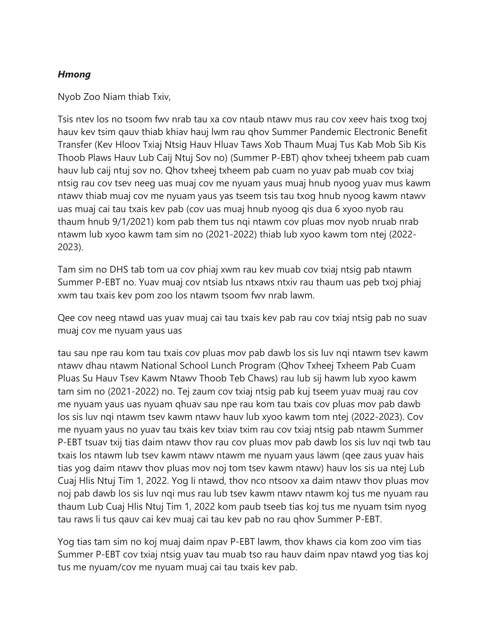### *Hmong*

Nyob Zoo Niam thiab Txiv,

Tsis ntev los no tsoom fwv nrab tau xa cov ntaub ntawv mus rau cov xeev hais txog txoj hauv kev tsim qauv thiab khiav hauj lwm rau qhov Summer Pandemic Electronic Benefit Transfer (Kev Hloov Txiaj Ntsig Hauv Hluav Taws Xob Thaum Muaj Tus Kab Mob Sib Kis Thoob Plaws Hauv Lub Caij Ntuj Sov no) (Summer P-EBT) qhov txheej txheem pab cuam hauv lub caij ntuj sov no. Qhov txheej txheem pab cuam no yuav pab muab cov txiaj ntsig rau cov tsev neeg uas muaj cov me nyuam yaus muaj hnub nyoog yuav mus kawm ntawv thiab muaj cov me nyuam yaus yas tseem tsis tau txog hnub nyoog kawm ntawv uas muaj cai tau txais kev pab (cov uas muaj hnub nyoog qis dua 6 xyoo nyob rau thaum hnub 9/1/2021) kom pab them tus nqi ntawm cov pluas mov nyob nruab nrab ntawm lub xyoo kawm tam sim no (2021-2022) thiab lub xyoo kawm tom ntej (2022- 2023).

Tam sim no DHS tab tom ua cov phiaj xwm rau kev muab cov txiaj ntsig pab ntawm Summer P-EBT no. Yuav muaj cov ntsiab lus ntxaws ntxiv rau thaum uas peb txoj phiaj xwm tau txais kev pom zoo los ntawm tsoom fwv nrab lawm.

Qee cov neeg ntawd uas yuav muaj cai tau txais kev pab rau cov txiaj ntsig pab no suav muaj cov me nyuam yaus uas

tau sau npe rau kom tau txais cov pluas mov pab dawb los sis luv nqi ntawm tsev kawm ntawv dhau ntawm National School Lunch Program (Qhov Txheej Txheem Pab Cuam Pluas Su Hauv Tsev Kawm Ntawv Thoob Teb Chaws) rau lub sij hawm lub xyoo kawm tam sim no (2021-2022) no. Tej zaum cov txiaj ntsig pab kuj tseem yuav muaj rau cov me nyuam yaus uas nyuam qhuav sau npe rau kom tau txais cov pluas mov pab dawb los sis luv nqi ntawm tsev kawm ntawv hauv lub xyoo kawm tom ntej (2022-2023). Cov me nyuam yaus no yuav tau txais kev txiav txim rau cov txiaj ntsig pab ntawm Summer P-EBT tsuav txij tias daim ntawv thov rau cov pluas mov pab dawb los sis luv nqi twb tau txais los ntawm lub tsev kawm ntawv ntawm me nyuam yaus lawm (qee zaus yuav hais tias yog daim ntawv thov pluas mov noj tom tsev kawm ntawv) hauv los sis ua ntej Lub Cuaj Hlis Ntuj Tim 1, 2022. Yog li ntawd, thov nco ntsoov xa daim ntawv thov pluas mov noj pab dawb los sis luv nqi mus rau lub tsev kawm ntawv ntawm koj tus me nyuam rau thaum Lub Cuaj Hlis Ntuj Tim 1, 2022 kom paub tseeb tias koj tus me nyuam tsim nyog tau raws li tus qauv cai kev muaj cai tau kev pab no rau qhov Summer P-EBT.

Yog tias tam sim no koj muaj daim npav P-EBT lawm, thov khaws cia kom zoo vim tias Summer P-EBT cov txiaj ntsig yuav tau muab tso rau hauv daim npav ntawd yog tias koj tus me nyuam/cov me nyuam muaj cai tau txais kev pab.